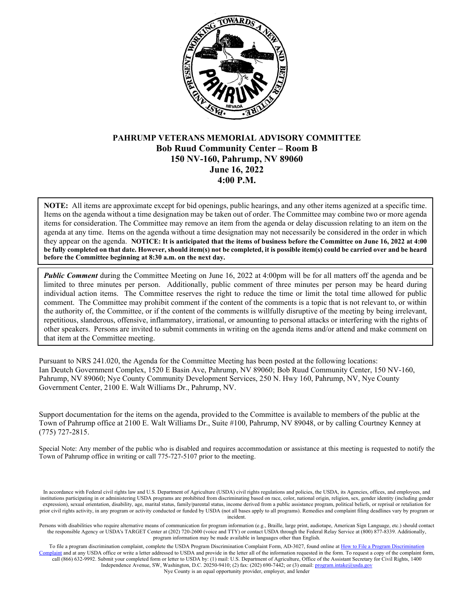

# **PAHRUMP VETERANS MEMORIAL ADVISORY COMMITTEE Bob Ruud Community Center – Room B 150 NV-160, Pahrump, NV 89060 June 16, 2022 4:00 P.M.**

**NOTE:** All items are approximate except for bid openings, public hearings, and any other items agenized at a specific time. Items on the agenda without a time designation may be taken out of order. The Committee may combine two or more agenda items for consideration. The Committee may remove an item from the agenda or delay discussion relating to an item on the agenda at any time. Items on the agenda without a time designation may not necessarily be considered in the order in which they appear on the agenda. **NOTICE: It is anticipated that the items of business before the Committee on June 16, 2022 at 4:00 be fully completed on that date. However, should item(s) not be completed, it is possible item(s) could be carried over and be heard before the Committee beginning at 8:30 a.m. on the next day.**

*Public Comment* during the Committee Meeting on June 16, 2022 at 4:00pm will be for all matters off the agenda and be limited to three minutes per person. Additionally, public comment of three minutes per person may be heard during individual action items. The Committee reserves the right to reduce the time or limit the total time allowed for public comment. The Committee may prohibit comment if the content of the comments is a topic that is not relevant to, or within the authority of, the Committee, or if the content of the comments is willfully disruptive of the meeting by being irrelevant, repetitious, slanderous, offensive, inflammatory, irrational, or amounting to personal attacks or interfering with the rights of other speakers. Persons are invited to submit comments in writing on the agenda items and/or attend and make comment on that item at the Committee meeting.

Pursuant to NRS 241.020, the Agenda for the Committee Meeting has been posted at the following locations: Ian Deutch Government Complex, 1520 E Basin Ave, Pahrump, NV 89060; Bob Ruud Community Center, 150 NV-160, Pahrump, NV 89060; Nye County Community Development Services, 250 N. Hwy 160, Pahrump, NV, Nye County Government Center, 2100 E. Walt Williams Dr., Pahrump, NV.

Support documentation for the items on the agenda, provided to the Committee is available to members of the public at the Town of Pahrump office at 2100 E. Walt Williams Dr., Suite #100, Pahrump, NV 89048, or by calling Courtney Kenney at (775) 727-2815.

Special Note: Any member of the public who is disabled and requires accommodation or assistance at this meeting is requested to notify the Town of Pahrump office in writing or call 775-727-5107 prior to the meeting.

Nye County is an equal opportunity provider, employer, and lender

In accordance with Federal civil rights law and U.S. Department of Agriculture (USDA) civil rights regulations and policies, the USDA, its Agencies, offices, and employees, and institutions participating in or administering USDA programs are prohibited from discriminating based on race, color, national origin, religion, sex, gender identity (including gender expression), sexual orientation, disability, age, marital status, family/parental status, income derived from a public assistance program, political beliefs, or reprisal or retaliation for prior civil rights activity, in any program or activity conducted or funded by USDA (not all bases apply to all programs). Remedies and complaint filing deadlines vary by program or incident.

Persons with disabilities who require alternative means of communication for program information (e.g., Braille, large print, audiotape, American Sign Language, etc.) should contact the responsible Agency or USDA's TARGET Center at (202) 720-2600 (voice and TTY) or contact USDA through the Federal Relay Service at (800) 877-8339. Additionally, program information may be made available in languages other than English.

To file a program discrimination complaint, complete the USDA Program Discrimination Complaint Form, AD-3027, found online at How to File a Program Discrimination [Complaint](https://www.ascr.usda.gov/how-file-program-discrimination-complaint) and at any USDA office or write a letter addressed to USDA and provide in the letter all of the information requested in the form. To request a copy of the complaint form, call (866) 632-9992. Submit your completed form or letter to USDA by: (1) mail: U.S. Department of Agriculture, Office of the Assistant Secretary for Civil Rights, 1400 Independence Avenue, SW, Washington, D.C. 20250-9410; (2) fax: (202) 690-7442; or (3) email[: program.intake@usda.gov](mailto:program.intake@usda.gov)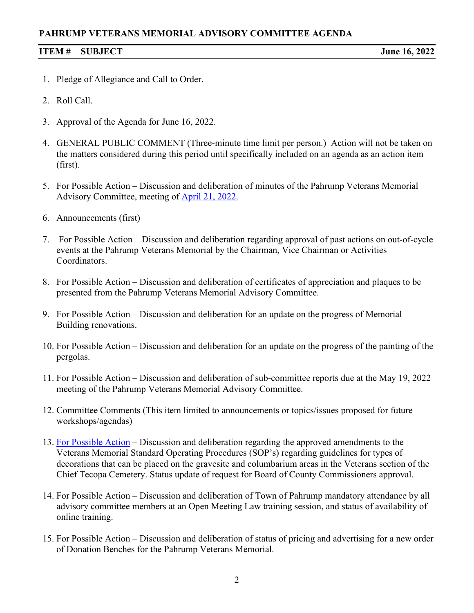# **PAHRUMP VETERANS MEMORIAL ADVISORY COMMITTEE AGENDA**

#### **ITEM # SUBJECT June 16, 2022**

- 1. Pledge of Allegiance and Call to Order.
- 2. Roll Call.
- 3. Approval of the Agenda for June 16, 2022.
- 4. GENERAL PUBLIC COMMENT (Three-minute time limit per person.) Action will not be taken on the matters considered during this period until specifically included on an agenda as an action item (first).
- 5. For Possible Action Discussion and deliberation of minutes of the Pahrump Veterans Memorial Advisory Committee, meeting of [April 21, 2022.](https://www.pahrumpnv.gov/DocumentCenter/View/1950/PVMAC-Minutes-April-21-2022)
- 6. Announcements (first)
- 7. For Possible Action Discussion and deliberation regarding approval of past actions on out-of-cycle events at the Pahrump Veterans Memorial by the Chairman, Vice Chairman or Activities Coordinators.
- 8. For Possible Action Discussion and deliberation of certificates of appreciation and plaques to be presented from the Pahrump Veterans Memorial Advisory Committee.
- 9. For Possible Action Discussion and deliberation for an update on the progress of Memorial Building renovations.
- 10. For Possible Action Discussion and deliberation for an update on the progress of the painting of the pergolas.
- 11. For Possible Action Discussion and deliberation of sub-committee reports due at the May 19, 2022 meeting of the Pahrump Veterans Memorial Advisory Committee.
- 12. Committee Comments (This item limited to announcements or topics/issues proposed for future workshops/agendas)
- 13. [For Possible Action](https://www.pahrumpnv.gov/DocumentCenter/View/1951/Item13) Discussion and deliberation regarding the approved amendments to the Veterans Memorial Standard Operating Procedures (SOP's) regarding guidelines for types of decorations that can be placed on the gravesite and columbarium areas in the Veterans section of the Chief Tecopa Cemetery. Status update of request for Board of County Commissioners approval.
- 14. For Possible Action Discussion and deliberation of Town of Pahrump mandatory attendance by all advisory committee members at an Open Meeting Law training session, and status of availability of online training.
- 15. For Possible Action Discussion and deliberation of status of pricing and advertising for a new order of Donation Benches for the Pahrump Veterans Memorial.